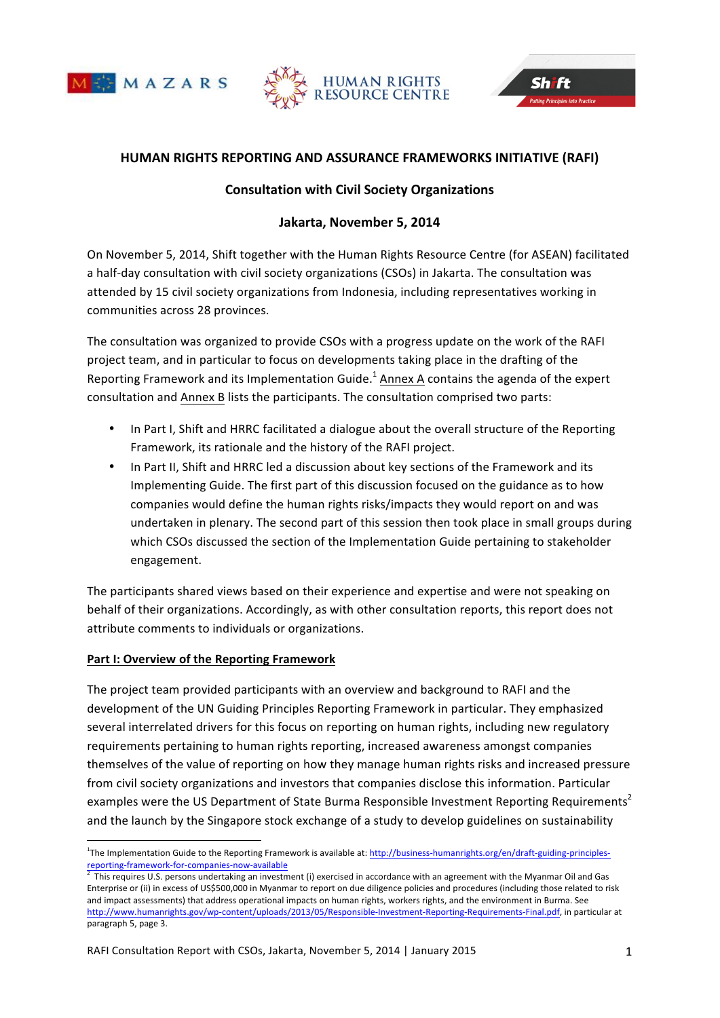





# **HUMAN!RIGHTS!REPORTING!AND!ASSURANCE!FRAMEWORKS!INITIATIVE (RAFI)**

## **Consultation!with!Civil!Society!Organizations**

# Jakarta, November 5, 2014

On November 5, 2014, Shift together with the Human Rights Resource Centre (for ASEAN) facilitated a half-day consultation with civil society organizations (CSOs) in Jakarta. The consultation was attended by 15 civil society organizations from Indonesia, including representatives working in communities across 28 provinces.

The consultation was organized to provide CSOs with a progress update on the work of the RAFI project team, and in particular to focus on developments taking place in the drafting of the Reporting Framework and its Implementation Guide.<sup>1</sup> Annex A contains the agenda of the expert consultation and Annex B lists the participants. The consultation comprised two parts:

- In Part I, Shift and HRRC facilitated a dialogue about the overall structure of the Reporting Framework, its rationale and the history of the RAFI project.
- In Part II, Shift and HRRC led a discussion about key sections of the Framework and its Implementing Guide. The first part of this discussion focused on the guidance as to how companies would define the human rights risks/impacts they would report on and was undertaken in plenary. The second part of this session then took place in small groups during which CSOs discussed the section of the Implementation Guide pertaining to stakeholder engagement.

The participants shared views based on their experience and expertise and were not speaking on behalf of their organizations. Accordingly, as with other consultation reports, this report does not attribute comments to individuals or organizations.

#### Part I: Overview of the Reporting Framework

%%%%%%%%%%%%%%%%%%%%%%%%%%%%%%%%%%%%%%%%%%%%%%%%%%%%%%%%%%%%

The project team provided participants with an overview and background to RAFI and the development of the UN Guiding Principles Reporting Framework in particular. They emphasized several interrelated drivers for this focus on reporting on human rights, including new regulatory requirements pertaining to human rights reporting, increased awareness amongst companies themselves of the value of reporting on how they manage human rights risks and increased pressure from civil society organizations and investors that companies disclose this information. Particular examples were the US Department of State Burma Responsible Investment Reporting Requirements<sup>2</sup> and the launch by the Singapore stock exchange of a study to develop guidelines on sustainability

<sup>&</sup>lt;sup>1</sup>The Implementation Guide to the Reporting Framework is available at: http://business-humanrights.org/en/draft-guiding-principlesreporting-framework-for-companies-now-available  $\frac{2}{3}$ . This assumes LLC assumes undertaking as investor

This requires U.S. persons undertaking an investment (i) exercised in accordance with an agreement with the Myanmar Oil and Gas Enterprise or (ii) in excess of US\$500,000 in Myanmar to report on due diligence policies and procedures (including those related to risk and impact assessments) that address operational impacts on human rights, workers rights, and the environment in Burma. See http://www.humanrights.gov/wp-content/uploads/2013/05/Responsible-Investment-Reporting-Requirements-Final.pdf, in particular at paragraph 5, page 3.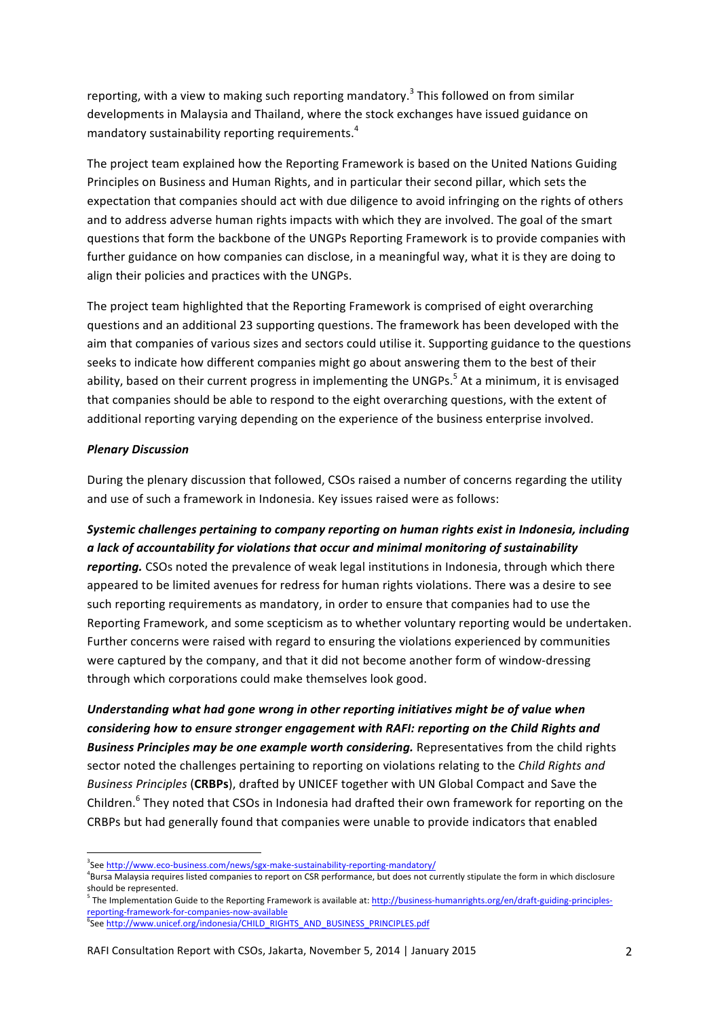reporting, with a view to making such reporting mandatory.<sup>3</sup> This followed on from similar developments in Malaysia and Thailand, where the stock exchanges have issued guidance on mandatory sustainability reporting requirements. $4$ 

The project team explained how the Reporting Framework is based on the United Nations Guiding Principles on Business and Human Rights, and in particular their second pillar, which sets the expectation that companies should act with due diligence to avoid infringing on the rights of others and to address adverse human rights impacts with which they are involved. The goal of the smart questions that form the backbone of the UNGPs Reporting Framework is to provide companies with further guidance on how companies can disclose, in a meaningful way, what it is they are doing to align their policies and practices with the UNGPs.

The project team highlighted that the Reporting Framework is comprised of eight overarching questions and an additional 23 supporting questions. The framework has been developed with the aim that companies of various sizes and sectors could utilise it. Supporting guidance to the questions seeks to indicate how different companies might go about answering them to the best of their ability, based on their current progress in implementing the UNGPs.<sup>5</sup> At a minimum, it is envisaged that companies should be able to respond to the eight overarching questions, with the extent of additional reporting varying depending on the experience of the business enterprise involved.

#### **Plenary Discussion**

During the plenary discussion that followed, CSOs raised a number of concerns regarding the utility and use of such a framework in Indonesia. Key issues raised were as follows:

*Systemic challenges pertaining to company reporting on human rights exist in Indonesia, including*  $a$  lack of accountability for violations that occur and minimal monitoring of sustainability *reporting.* CSOs noted the prevalence of weak legal institutions in Indonesia, through which there appeared to be limited avenues for redress for human rights violations. There was a desire to see such reporting requirements as mandatory, in order to ensure that companies had to use the Reporting Framework, and some scepticism as to whether voluntary reporting would be undertaken. Further concerns were raised with regard to ensuring the violations experienced by communities were captured by the company, and that it did not become another form of window-dressing through which corporations could make themselves look good.

Understanding what had gone wrong in other reporting initiatives might be of value when considering how to ensure stronger engagement with RAFI: reporting on the Child Rights and Business Principles may be one example worth considering. Representatives from the child rights sector noted the challenges pertaining to reporting on violations relating to the *Child Rights and Business Principles* (CRBPs), drafted by UNICEF together with UN Global Compact and Save the Children. $6$  They noted that CSOs in Indonesia had drafted their own framework for reporting on the CRBPs but had generally found that companies were unable to provide indicators that enabled

%%%%%%%%%%%%%%%%%%%%%%%%%%%%%%%%%%%%%%%%%%%%%%%%%%%%%%%%%%%%

<sup>&</sup>lt;sup>3</sup>See http://www.eco-business.com/news/sgx-make-sustainability-reporting-mandatory/

<sup>&</sup>lt;sup>4</sup>Bursa Malaysia requires listed companies to report on CSR performance, but does not currently stipulate the form in which disclosure should be represented.

 $^5$  The Implementation Guide to the Reporting Framework is available at: http://business-humanrights.org/en/draft-guiding-principlesreporting-framework-for-companies-now-available

<sup>6</sup> See http://www.unicef.org/indonesia/CHILD\_RIGHTS\_AND\_BUSINESS\_PRINCIPLES.pdf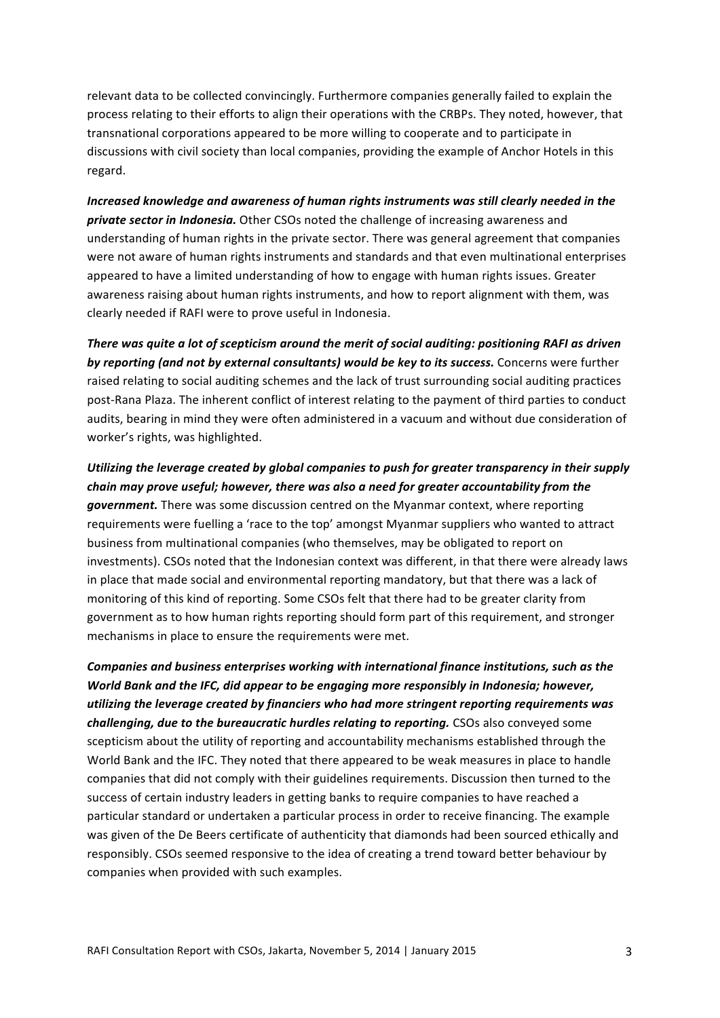relevant data to be collected convincingly. Furthermore companies generally failed to explain the process relating to their efforts to align their operations with the CRBPs. They noted, however, that transnational corporations appeared to be more willing to cooperate and to participate in discussions with civil society than local companies, providing the example of Anchor Hotels in this regard.

*Increased knowledge and awareness of human rights instruments was still clearly needed in the* **private sector in Indonesia.** Other CSOs noted the challenge of increasing awareness and understanding of human rights in the private sector. There was general agreement that companies were not aware of human rights instruments and standards and that even multinational enterprises appeared to have a limited understanding of how to engage with human rights issues. Greater awareness raising about human rights instruments, and how to report alignment with them, was clearly needed if RAFI were to prove useful in Indonesia.

*There was quite a lot of scepticism around the merit of social auditing: positioning RAFI as driven by reporting (and not by external consultants) would be key to its success.* Concerns were further raised relating to social auditing schemes and the lack of trust surrounding social auditing practices post-Rana Plaza. The inherent conflict of interest relating to the payment of third parties to conduct audits, bearing in mind they were often administered in a vacuum and without due consideration of worker's rights, was highlighted.

*Utilizing the leverage created by global companies to push for greater transparency in their supply chain may prove useful; however, there was also a need for greater accountability from the* government. There was some discussion centred on the Myanmar context, where reporting requirements were fuelling a 'race to the top' amongst Myanmar suppliers who wanted to attract business from multinational companies (who themselves, may be obligated to report on investments). CSOs noted that the Indonesian context was different, in that there were already laws in place that made social and environmental reporting mandatory, but that there was a lack of monitoring of this kind of reporting. Some CSOs felt that there had to be greater clarity from government as to how human rights reporting should form part of this requirement, and stronger mechanisms in place to ensure the requirements were met.

Companies and business enterprises working with international finance institutions, such as the *World Bank and the IFC, did appear to be engaging more responsibly in Indonesia; however, utilizing the leverage created by financiers who had more stringent reporting requirements was challenging, due to the bureaucratic hurdles relating to reporting. CSOs also conveyed some* scepticism about the utility of reporting and accountability mechanisms established through the World Bank and the IFC. They noted that there appeared to be weak measures in place to handle companies that did not comply with their guidelines requirements. Discussion then turned to the success of certain industry leaders in getting banks to require companies to have reached a particular standard or undertaken a particular process in order to receive financing. The example was given of the De Beers certificate of authenticity that diamonds had been sourced ethically and responsibly. CSOs seemed responsive to the idea of creating a trend toward better behaviour by companies when provided with such examples.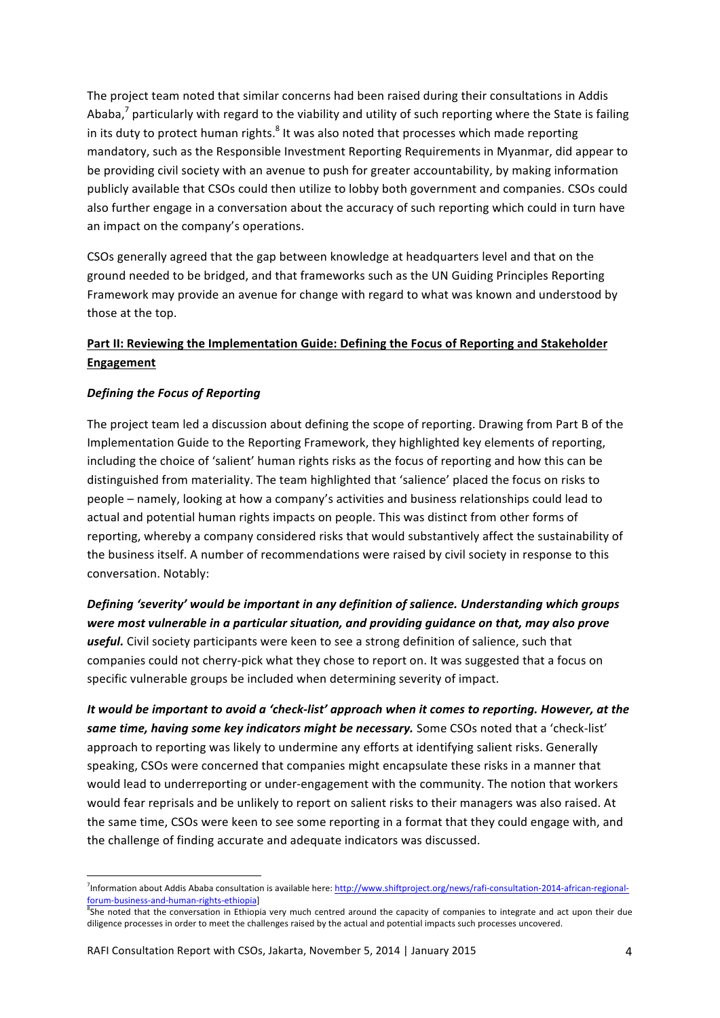The project team noted that similar concerns had been raised during their consultations in Addis Ababa,<sup>7</sup> particularly with regard to the viability and utility of such reporting where the State is failing in its duty to protect human rights. $8$  It was also noted that processes which made reporting mandatory, such as the Responsible Investment Reporting Requirements in Myanmar, did appear to be providing civil society with an avenue to push for greater accountability, by making information publicly available that CSOs could then utilize to lobby both government and companies. CSOs could also further engage in a conversation about the accuracy of such reporting which could in turn have an impact on the company's operations.

CSOs generally agreed that the gap between knowledge at headquarters level and that on the ground needed to be bridged, and that frameworks such as the UN Guiding Principles Reporting Framework may provide an avenue for change with regard to what was known and understood by those at the top.

# Part II: Reviewing the Implementation Guide: Defining the Focus of Reporting and Stakeholder **Engagement**

## **Defining the Focus of Reporting**

%%%%%%%%%%%%%%%%%%%%%%%%%%%%%%%%%%%%%%%%%%%%%%%%%%%%%%%%%%%%

The project team led a discussion about defining the scope of reporting. Drawing from Part B of the Implementation Guide to the Reporting Framework, they highlighted key elements of reporting, including the choice of 'salient' human rights risks as the focus of reporting and how this can be distinguished from materiality. The team highlighted that 'salience' placed the focus on risks to people – namely, looking at how a company's activities and business relationships could lead to actual and potential human rights impacts on people. This was distinct from other forms of reporting, whereby a company considered risks that would substantively affect the sustainability of the business itself. A number of recommendations were raised by civil society in response to this conversation. Notably:

Defining 'severity' would be important in any definition of salience. Understanding which groups were most vulnerable in a particular situation, and providing guidance on that, may also prove *useful.* Civil society participants were keen to see a strong definition of salience, such that companies could not cherry-pick what they chose to report on. It was suggested that a focus on specific vulnerable groups be included when determining severity of impact.

*It would be important to avoid a 'check-list' approach when it comes to reporting. However, at the* same time, having some key indicators might be necessary. Some CSOs noted that a 'check-list' approach to reporting was likely to undermine any efforts at identifying salient risks. Generally speaking, CSOs were concerned that companies might encapsulate these risks in a manner that would lead to underreporting or under-engagement with the community. The notion that workers would fear reprisals and be unlikely to report on salient risks to their managers was also raised. At the same time, CSOs were keen to see some reporting in a format that they could engage with, and the challenge of finding accurate and adequate indicators was discussed.

<sup>&</sup>lt;sup>7</sup>Information about Addis Ababa consultation is available here: http://www.shiftproject.org/news/rafi-consultation-2014-african-regionalforum-business-and-human-rights-ethiopia]

<sup>&</sup>lt;sup>8</sup>She noted that the conversation in Ethiopia very much centred around the capacity of companies to integrate and act upon their due diligence processes in order to meet the challenges raised by the actual and potential impacts such processes uncovered.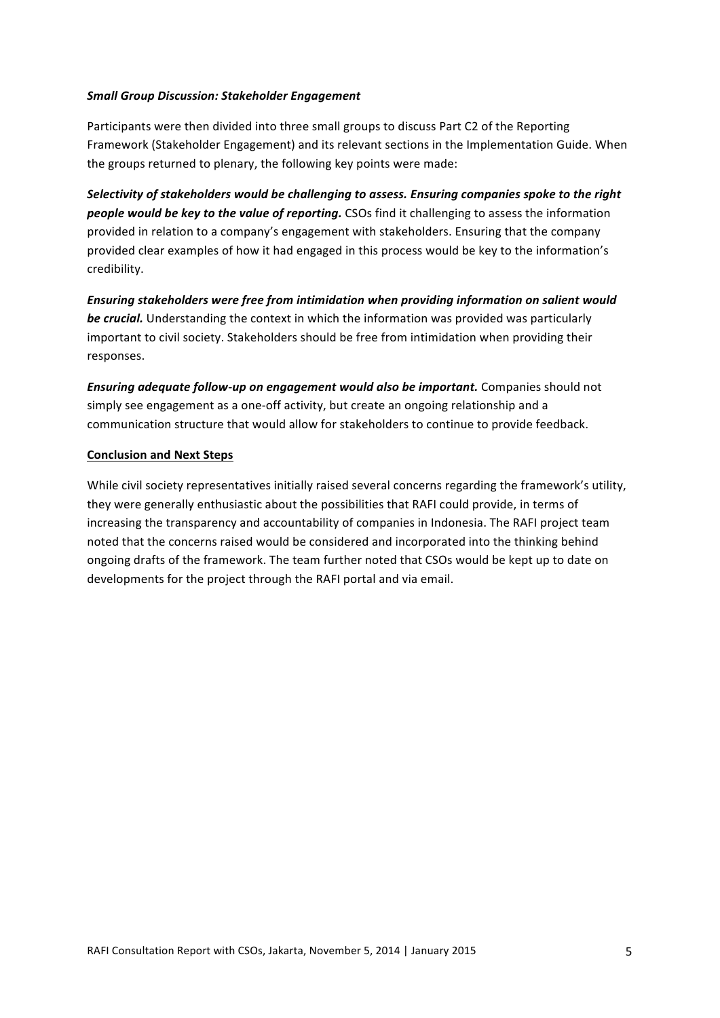#### **Small Group Discussion: Stakeholder Engagement**

Participants were then divided into three small groups to discuss Part C2 of the Reporting Framework (Stakeholder Engagement) and its relevant sections in the Implementation Guide. When the groups returned to plenary, the following key points were made:

*Selectivity of stakeholders would be challenging to assess. Ensuring companies spoke to the right people would be key to the value of reporting.* CSOs find it challenging to assess the information provided in relation to a company's engagement with stakeholders. Ensuring that the company provided clear examples of how it had engaged in this process would be key to the information's credibility.

Ensuring stakeholders were free from intimidation when providing information on salient would **be crucial.** Understanding the context in which the information was provided was particularly important to civil society. Stakeholders should be free from intimidation when providing their responses.

*Ensuring adequate follow-up on engagement would also be important.* Companies should not simply see engagement as a one-off activity, but create an ongoing relationship and a communication structure that would allow for stakeholders to continue to provide feedback.

## **Conclusion and Next Steps**

While civil society representatives initially raised several concerns regarding the framework's utility, they were generally enthusiastic about the possibilities that RAFI could provide, in terms of increasing the transparency and accountability of companies in Indonesia. The RAFI project team noted that the concerns raised would be considered and incorporated into the thinking behind ongoing drafts of the framework. The team further noted that CSOs would be kept up to date on developments for the project through the RAFI portal and via email.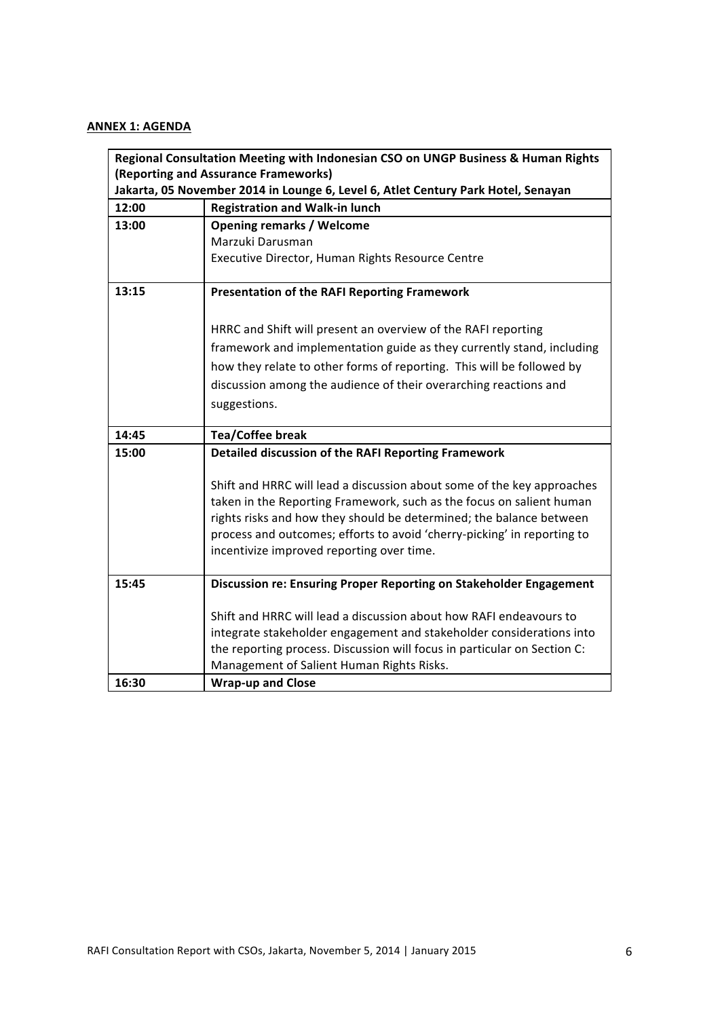# **ANNEX 1: AGENDA**

| Regional Consultation Meeting with Indonesian CSO on UNGP Business & Human Rights |                                                                          |  |  |
|-----------------------------------------------------------------------------------|--------------------------------------------------------------------------|--|--|
| (Reporting and Assurance Frameworks)                                              |                                                                          |  |  |
| Jakarta, 05 November 2014 in Lounge 6, Level 6, Atlet Century Park Hotel, Senayan |                                                                          |  |  |
| 12:00                                                                             | <b>Registration and Walk-in lunch</b>                                    |  |  |
| 13:00                                                                             | <b>Opening remarks / Welcome</b>                                         |  |  |
|                                                                                   | Marzuki Darusman                                                         |  |  |
|                                                                                   | Executive Director, Human Rights Resource Centre                         |  |  |
|                                                                                   |                                                                          |  |  |
| 13:15                                                                             | <b>Presentation of the RAFI Reporting Framework</b>                      |  |  |
|                                                                                   |                                                                          |  |  |
|                                                                                   | HRRC and Shift will present an overview of the RAFI reporting            |  |  |
|                                                                                   | framework and implementation guide as they currently stand, including    |  |  |
|                                                                                   | how they relate to other forms of reporting. This will be followed by    |  |  |
|                                                                                   | discussion among the audience of their overarching reactions and         |  |  |
|                                                                                   | suggestions.                                                             |  |  |
|                                                                                   |                                                                          |  |  |
| 14:45                                                                             | <b>Tea/Coffee break</b>                                                  |  |  |
| 15:00                                                                             | Detailed discussion of the RAFI Reporting Framework                      |  |  |
|                                                                                   |                                                                          |  |  |
|                                                                                   | Shift and HRRC will lead a discussion about some of the key approaches   |  |  |
|                                                                                   | taken in the Reporting Framework, such as the focus on salient human     |  |  |
|                                                                                   | rights risks and how they should be determined; the balance between      |  |  |
|                                                                                   | process and outcomes; efforts to avoid 'cherry-picking' in reporting to  |  |  |
|                                                                                   | incentivize improved reporting over time.                                |  |  |
|                                                                                   |                                                                          |  |  |
| 15:45                                                                             | Discussion re: Ensuring Proper Reporting on Stakeholder Engagement       |  |  |
|                                                                                   |                                                                          |  |  |
|                                                                                   | Shift and HRRC will lead a discussion about how RAFI endeavours to       |  |  |
|                                                                                   | integrate stakeholder engagement and stakeholder considerations into     |  |  |
|                                                                                   | the reporting process. Discussion will focus in particular on Section C: |  |  |
|                                                                                   | Management of Salient Human Rights Risks.                                |  |  |
| 16:30                                                                             | <b>Wrap-up and Close</b>                                                 |  |  |